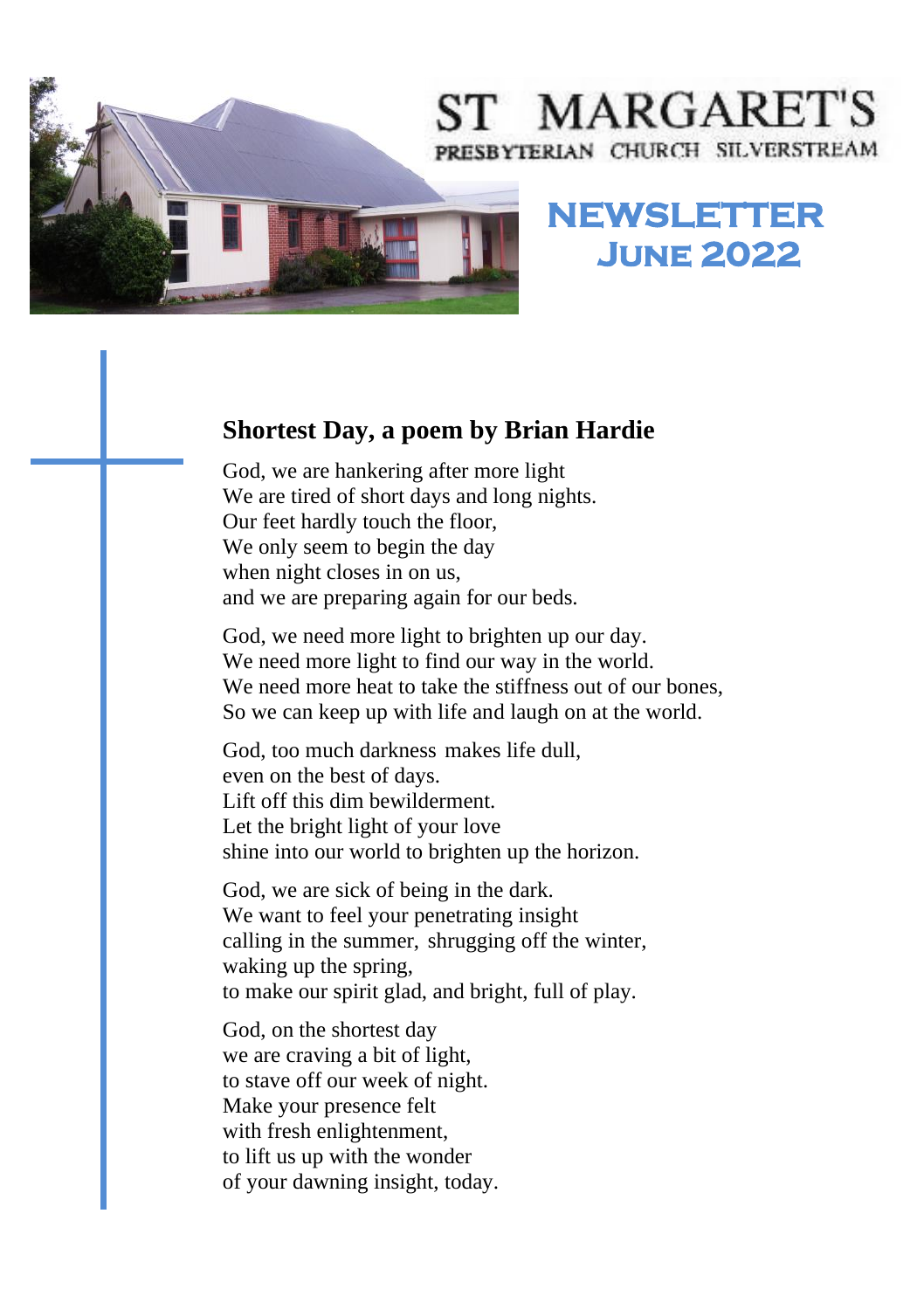

# ST MARGARET'S PRESBYTERIAN CHURCH SILVERSTREAM

## **NEWSLETTER June 2022**

#### **Shortest Day, a poem by Brian Hardie**

God, we are hankering after more light We are tired of short days and long nights. Our feet hardly touch the floor, We only seem to begin the day when night closes in on us, and we are preparing again for our beds.

God, we need more light to brighten up our day. We need more light to find our way in the world. We need more heat to take the stiffness out of our bones, So we can keep up with life and laugh on at the world.

God, too much darkness makes life dull, even on the best of days. Lift off this dim bewilderment. Let the bright light of your love shine into our world to brighten up the horizon.

God, we are sick of being in the dark. We want to feel your penetrating insight calling in the summer, shrugging off the winter, waking up the spring, to make our spirit glad, and bright, full of play.

God, on the shortest day we are craving a bit of light, to stave off our week of night. Make your presence felt with fresh enlightenment, to lift us up with the wonder of your dawning insight, today.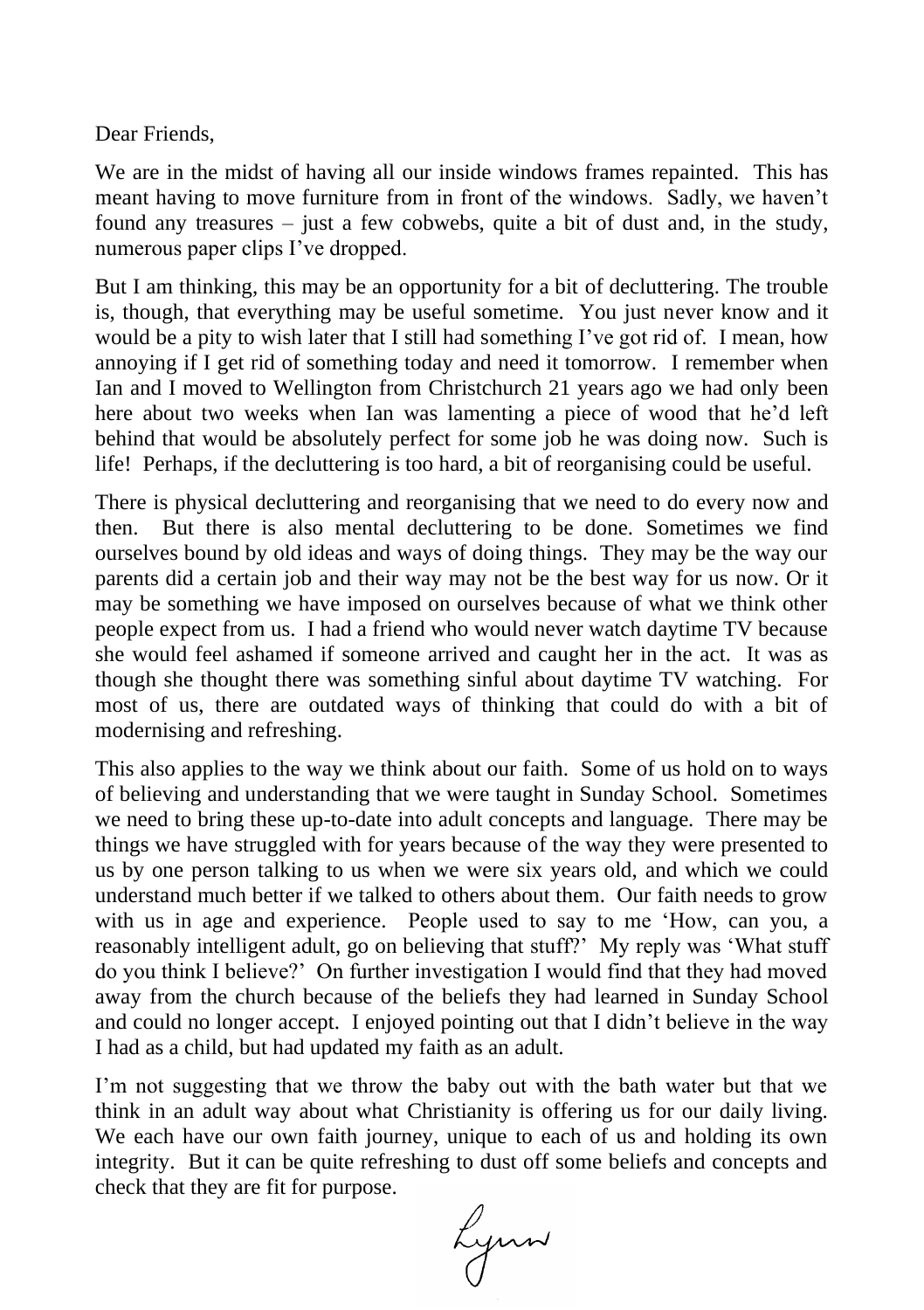Dear Friends,

We are in the midst of having all our inside windows frames repainted. This has meant having to move furniture from in front of the windows. Sadly, we haven't found any treasures – just a few cobwebs, quite a bit of dust and, in the study, numerous paper clips I've dropped.

But I am thinking, this may be an opportunity for a bit of decluttering. The trouble is, though, that everything may be useful sometime. You just never know and it would be a pity to wish later that I still had something I've got rid of. I mean, how annoying if I get rid of something today and need it tomorrow. I remember when Ian and I moved to Wellington from Christchurch 21 years ago we had only been here about two weeks when Ian was lamenting a piece of wood that he'd left behind that would be absolutely perfect for some job he was doing now. Such is life! Perhaps, if the decluttering is too hard, a bit of reorganising could be useful.

There is physical decluttering and reorganising that we need to do every now and then. But there is also mental decluttering to be done. Sometimes we find ourselves bound by old ideas and ways of doing things. They may be the way our parents did a certain job and their way may not be the best way for us now. Or it may be something we have imposed on ourselves because of what we think other people expect from us. I had a friend who would never watch daytime TV because she would feel ashamed if someone arrived and caught her in the act. It was as though she thought there was something sinful about daytime TV watching. For most of us, there are outdated ways of thinking that could do with a bit of modernising and refreshing.

This also applies to the way we think about our faith. Some of us hold on to ways of believing and understanding that we were taught in Sunday School. Sometimes we need to bring these up-to-date into adult concepts and language. There may be things we have struggled with for years because of the way they were presented to us by one person talking to us when we were six years old, and which we could understand much better if we talked to others about them. Our faith needs to grow with us in age and experience. People used to say to me 'How, can you, a reasonably intelligent adult, go on believing that stuff?' My reply was 'What stuff do you think I believe?' On further investigation I would find that they had moved away from the church because of the beliefs they had learned in Sunday School and could no longer accept. I enjoyed pointing out that I didn't believe in the way I had as a child, but had updated my faith as an adult.

I'm not suggesting that we throw the baby out with the bath water but that we think in an adult way about what Christianity is offering us for our daily living. We each have our own faith journey, unique to each of us and holding its own integrity. But it can be quite refreshing to dust off some beliefs and concepts and check that they are fit for purpose.

Lynn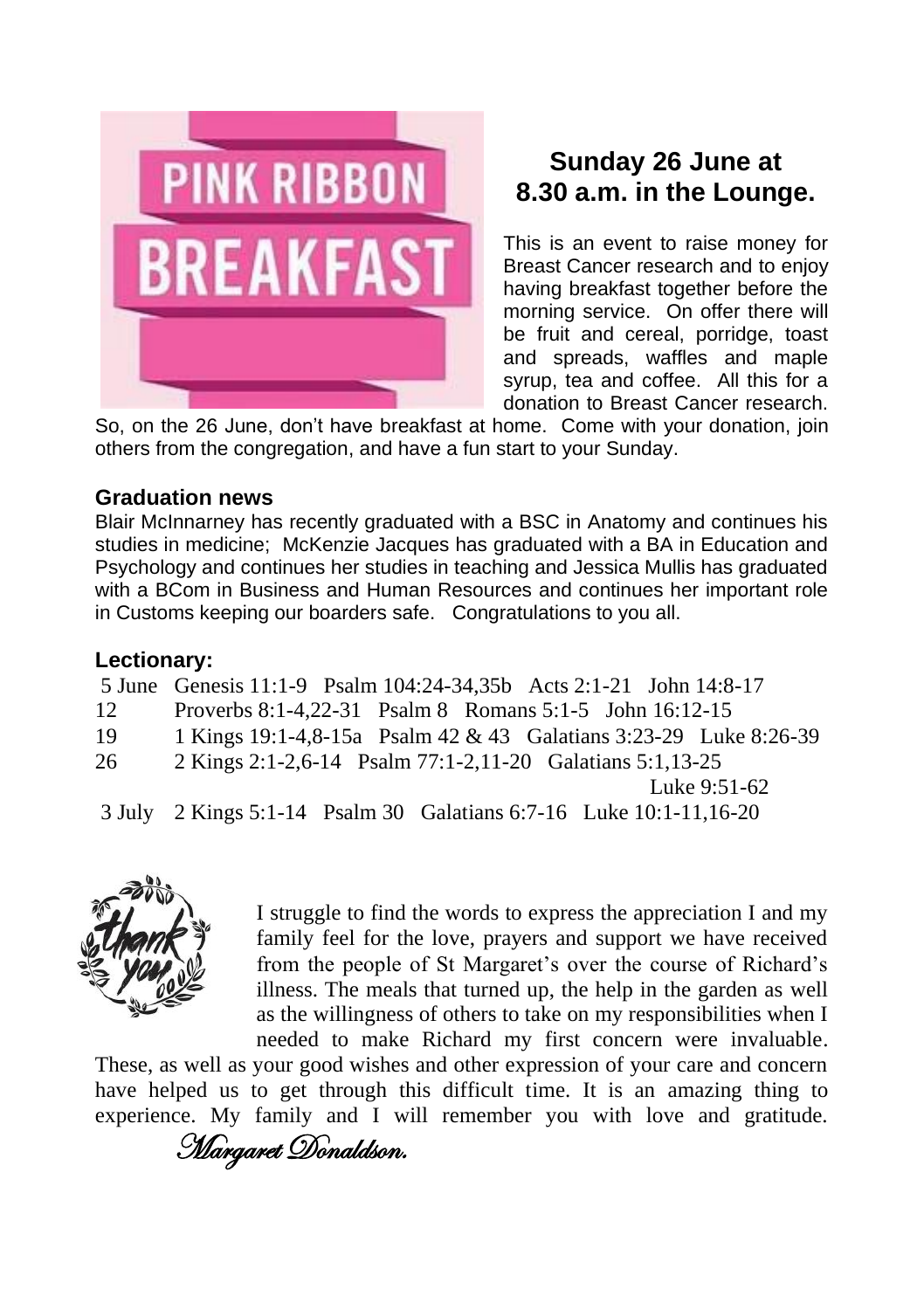

### **Sunday 26 June at 8.30 a.m. in the Lounge.**

This is an event to raise money for Breast Cancer research and to enjoy having breakfast together before the morning service. On offer there will be fruit and cereal, porridge, toast and spreads, waffles and maple syrup, tea and coffee. All this for a donation to Breast Cancer research.

So, on the 26 June, don't have breakfast at home. Come with your donation, join others from the congregation, and have a fun start to your Sunday.

#### **Graduation news**

Blair McInnarney has recently graduated with a BSC in Anatomy and continues his studies in medicine; McKenzie Jacques has graduated with a BA in Education and Psychology and continues her studies in teaching and Jessica Mullis has graduated with a BCom in Business and Human Resources and continues her important role in Customs keeping our boarders safe. Congratulations to you all.

#### **Lectionary:**

5 June Genesis 11:1-9 Psalm 104:24-34,35b Acts 2:1-21 John 14:8-17

- 12 Proverbs 8:1-4,22-31 Psalm 8 Romans 5:1-5 John 16:12-15
- 19 1 Kings 19:1-4,8-15a Psalm 42 & 43 Galatians 3:23-29 Luke 8:26-39

26 2 Kings 2:1-2,6-14 Psalm 77:1-2,11-20 Galatians 5:1,13-25

Luke 9:51-62

3 July 2 Kings 5:1-14 Psalm 30 Galatians 6:7-16 Luke 10:1-11,16-20



I struggle to find the words to express the appreciation I and my family feel for the love, prayers and support we have received from the people of St Margaret's over the course of Richard's illness. The meals that turned up, the help in the garden as well as the willingness of others to take on my responsibilities when I needed to make Richard my first concern were invaluable.

These, as well as your good wishes and other expression of your care and concern have helped us to get through this difficult time. It is an amazing thing to experience. My family and I will remember you with love and gratitude.

Margaret Donaldson.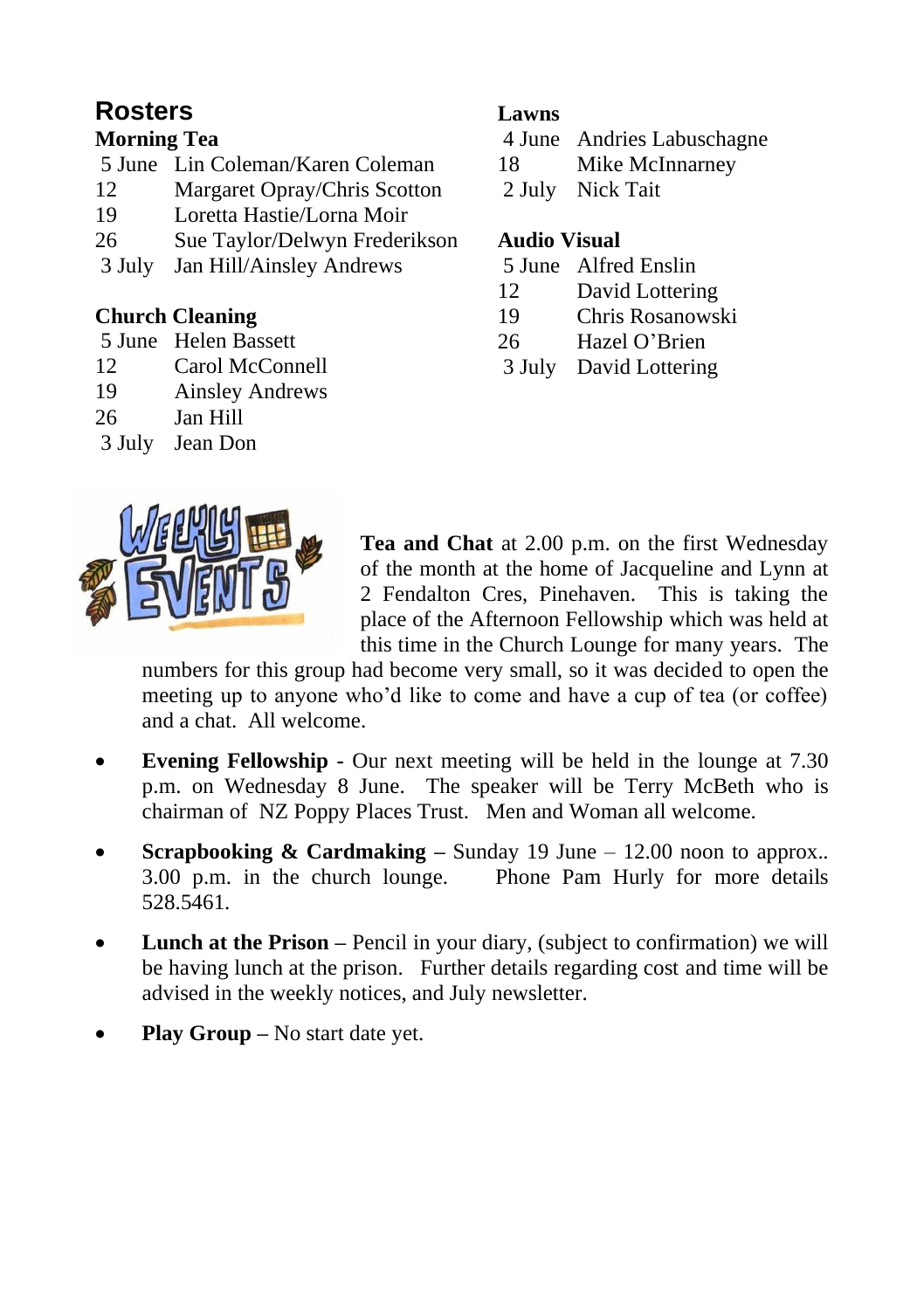## **Rosters**

#### **Morning Tea**

- 5 June Lin Coleman/Karen Coleman
- 12 Margaret Opray/Chris Scotton
- 19 Loretta Hastie/Lorna Moir
- 26 Sue Taylor/Delwyn Frederikson
- 3 July Jan Hill/Ainsley Andrews

#### **Church Cleaning**

- 5 June Helen Bassett
- 12 Carol McConnell
- 19 Ainsley Andrews
- 26 Jan Hill
- 3 July Jean Don

#### **Lawns**

- 4 June Andries Labuschagne
- 18 Mike McInnarney
- 2 July Nick Tait

#### **Audio Visual**

- 5 June Alfred Enslin
- 12 David Lottering
- 19 Chris Rosanowski
- 26 Hazel O'Brien
- 3 July David Lottering



**Tea and Chat** at 2.00 p.m. on the first Wednesday of the month at the home of Jacqueline and Lynn at 2 Fendalton Cres, Pinehaven. This is taking the place of the Afternoon Fellowship which was held at this time in the Church Lounge for many years. The

numbers for this group had become very small, so it was decided to open the meeting up to anyone who'd like to come and have a cup of tea (or coffee) and a chat. All welcome.

- **Evening Fellowship -** Our next meeting will be held in the lounge at 7.30 p.m. on Wednesday 8 June. The speaker will be Terry McBeth who is chairman of NZ Poppy Places Trust. Men and Woman all welcome.
- **Scrapbooking & Cardmaking –** Sunday 19 June 12.00 noon to approx.. 3.00 p.m. in the church lounge. Phone Pam Hurly for more details 528.5461.
- **Lunch at the Prison** Pencil in your diary, (subject to confirmation) we will be having lunch at the prison. Further details regarding cost and time will be advised in the weekly notices, and July newsletter.
- **Play Group** No start date yet.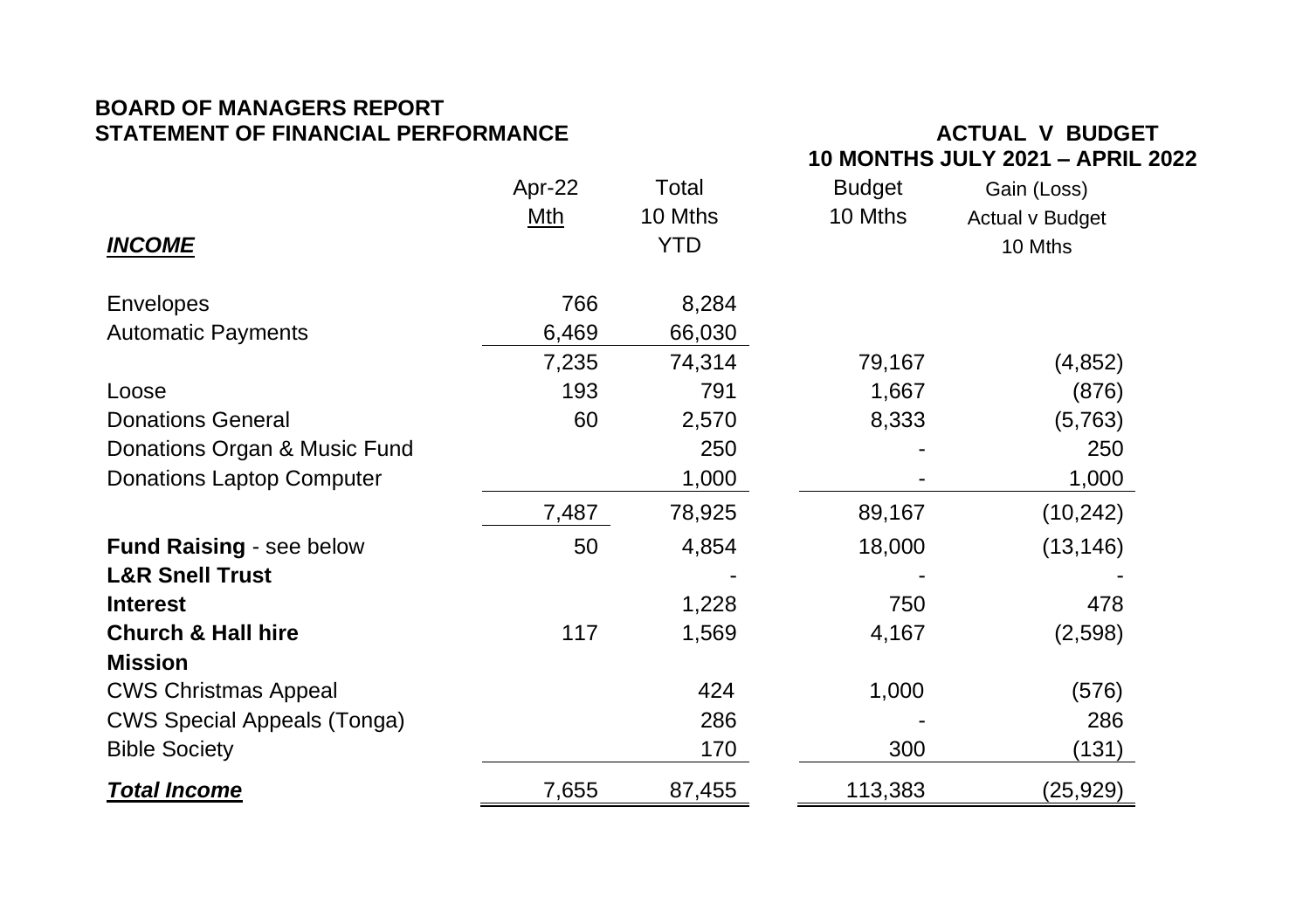#### **BOARD OF MANAGERS REPORT STATEMENT OF FINANCIAL PERFORMANCE ACTUAL V BUDGET**

# **10 MONTHS JULY 2021 – APRIL 2022**

|                                    | Apr-22     | Total   | <b>Budget</b> | Gain (Loss)     |
|------------------------------------|------------|---------|---------------|-----------------|
|                                    | Mth        | 10 Mths | 10 Mths       | Actual v Budget |
| <b>INCOME</b>                      | <b>YTD</b> |         |               | 10 Mths         |
| Envelopes                          | 766        | 8,284   |               |                 |
| <b>Automatic Payments</b>          | 6,469      | 66,030  |               |                 |
|                                    | 7,235      | 74,314  | 79,167        | (4, 852)        |
| Loose                              | 193        | 791     | 1,667         | (876)           |
| <b>Donations General</b>           | 60         | 2,570   | 8,333         | (5,763)         |
| Donations Organ & Music Fund       |            | 250     |               | 250             |
| Donations Laptop Computer          |            | 1,000   |               | 1,000           |
|                                    | 7,487      | 78,925  | 89,167        | (10, 242)       |
| Fund Raising - see below           | 50         | 4,854   | 18,000        | (13, 146)       |
| <b>L&amp;R Snell Trust</b>         |            |         |               |                 |
| <b>Interest</b>                    |            | 1,228   | 750           | 478             |
| <b>Church &amp; Hall hire</b>      | 117        | 1,569   | 4,167         | (2,598)         |
| <b>Mission</b>                     |            |         |               |                 |
| <b>CWS Christmas Appeal</b>        |            | 424     | 1,000         | (576)           |
| <b>CWS Special Appeals (Tonga)</b> |            | 286     |               | 286             |
| <b>Bible Society</b>               |            | 170     | 300           | (131)           |
| <b>Total Income</b>                | 7,655      | 87,455  | 113,383       | (25, 929)       |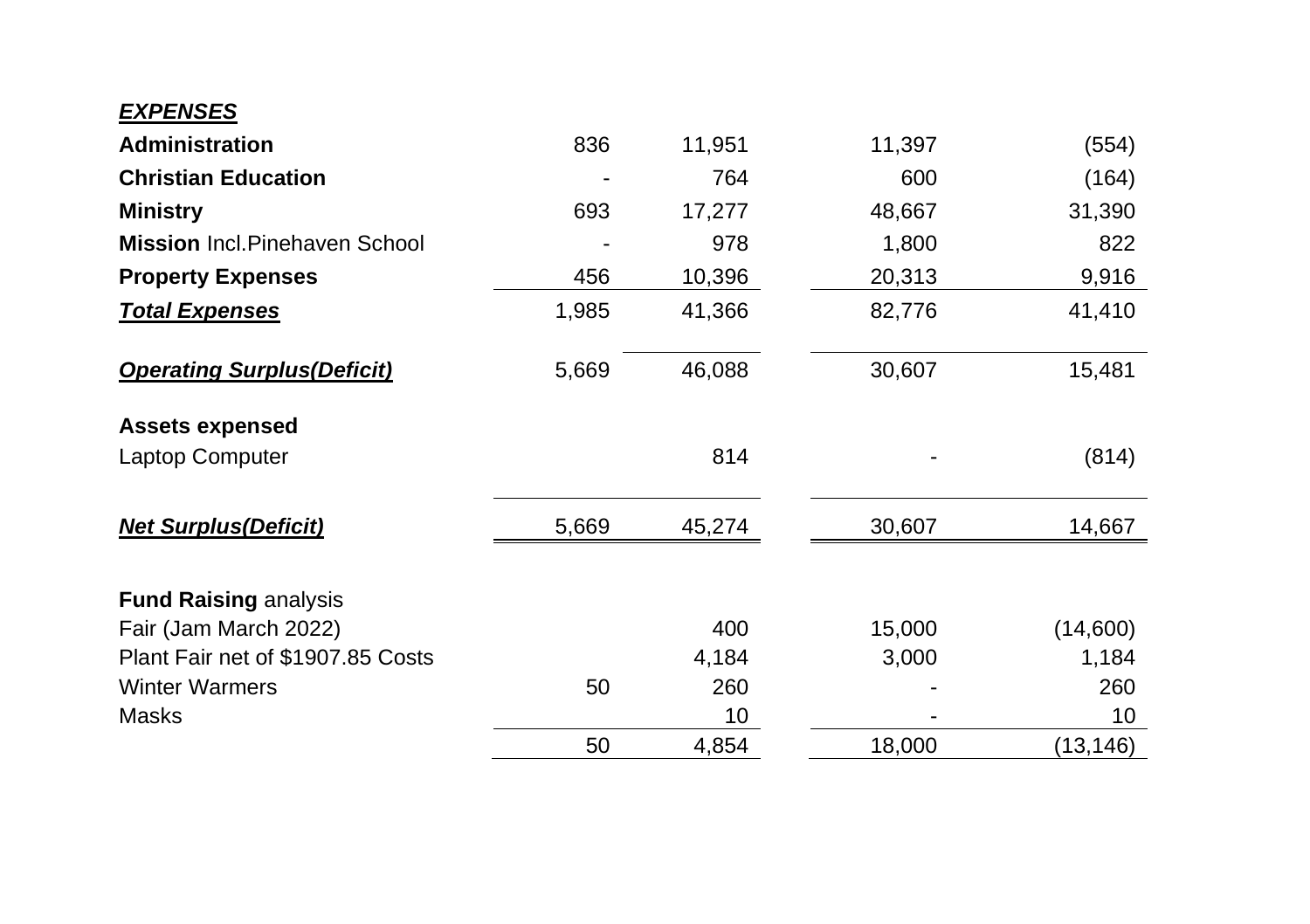#### *EXPENSES*

| <b>Administration</b>                 | 836   | 11,951 | 11,397 | (554)     |
|---------------------------------------|-------|--------|--------|-----------|
| <b>Christian Education</b>            |       | 764    | 600    | (164)     |
| <b>Ministry</b>                       | 693   | 17,277 | 48,667 | 31,390    |
| <b>Mission Incl. Pinehaven School</b> |       | 978    | 1,800  | 822       |
| <b>Property Expenses</b>              | 456   | 10,396 | 20,313 | 9,916     |
| <b>Total Expenses</b>                 | 1,985 | 41,366 | 82,776 | 41,410    |
| <b>Operating Surplus (Deficit)</b>    | 5,669 | 46,088 | 30,607 | 15,481    |
| <b>Assets expensed</b>                |       |        |        |           |
| Laptop Computer                       |       | 814    |        | (814)     |
| <b>Net Surplus(Deficit)</b>           | 5,669 | 45,274 | 30,607 | 14,667    |
| <b>Fund Raising analysis</b>          |       |        |        |           |
| Fair (Jam March 2022)                 |       | 400    | 15,000 | (14,600)  |
| Plant Fair net of \$1907.85 Costs     |       | 4,184  | 3,000  | 1,184     |
| <b>Winter Warmers</b>                 | 50    | 260    |        | 260       |
| Masks                                 |       | 10     |        | 10        |
|                                       | 50    | 4,854  | 18,000 | (13, 146) |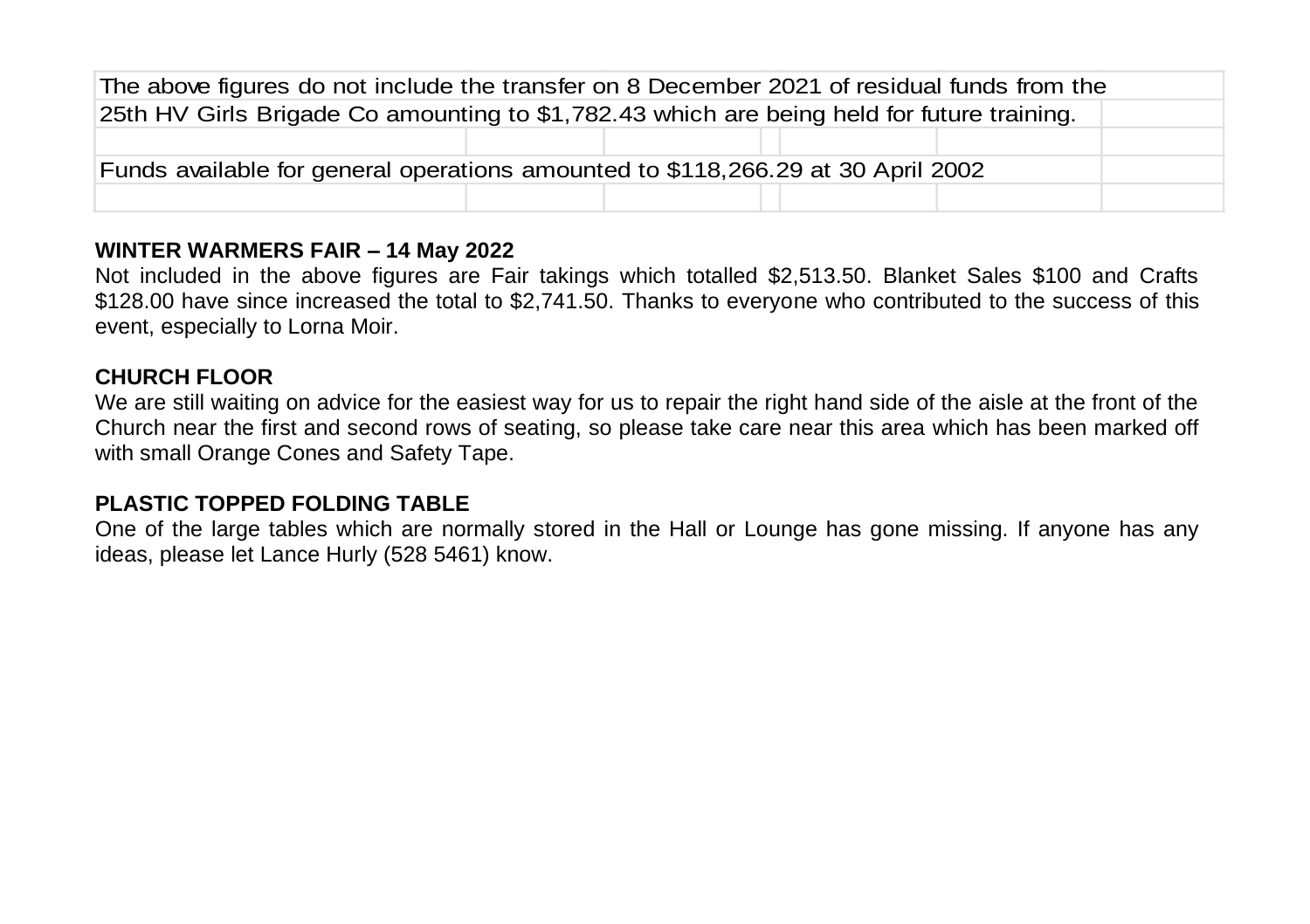| The above figures do not include the transfer on 8 December 2021 of residual funds from the |  |  |  |  |  |
|---------------------------------------------------------------------------------------------|--|--|--|--|--|
| 25th HV Girls Brigade Co amounting to \$1,782.43 which are being held for future training.  |  |  |  |  |  |
|                                                                                             |  |  |  |  |  |
| Funds available for general operations amounted to \$118,266.29 at 30 April 2002            |  |  |  |  |  |
|                                                                                             |  |  |  |  |  |

#### **WINTER WARMERS FAIR – 14 May 2022**

Not included in the above figures are Fair takings which totalled \$2,513.50. Blanket Sales \$100 and Crafts \$128.00 have since increased the total to \$2,741.50. Thanks to everyone who contributed to the success of this event, especially to Lorna Moir.

#### **CHURCH FLOOR**

We are still waiting on advice for the easiest way for us to repair the right hand side of the aisle at the front of the Church near the first and second rows of seating, so please take care near this area which has been marked off with small Orange Cones and Safety Tape.

#### **PLASTIC TOPPED FOLDING TABLE**

One of the large tables which are normally stored in the Hall or Lounge has gone missing. If anyone has any ideas, please let Lance Hurly (528 5461) know.